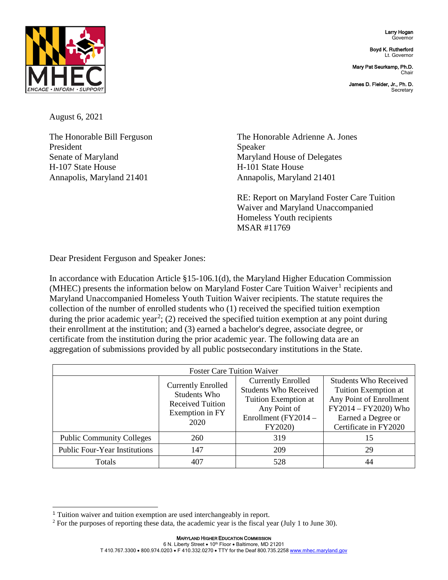Larry Hogan Governor

Boyd K. Rutherford Lt. Governor

Mary Pat Seurkamp, Ph.D. Chair

James D. Fielder, Jr., Ph. D. **Secretary** 



August 6, 2021

President Speaker Senate of Maryland Maryland Maryland House of Delegates H-107 State House Here House H-101 State House Annapolis, Maryland 21401 Annapolis, Maryland 21401

The Honorable Bill Ferguson The Honorable Adrienne A. Jones

RE: Report on Maryland Foster Care Tuition Waiver and Maryland Unaccompanied Homeless Youth recipients MSAR #11769

Dear President Ferguson and Speaker Jones:

In accordance with Education Article §15-106.1(d), the Maryland Higher Education Commission (MHEC) presents the information below on Maryland Foster Care Tuition Waiver<sup>[1](#page-0-0)</sup> recipients and Maryland Unaccompanied Homeless Youth Tuition Waiver recipients. The statute requires the collection of the number of enrolled students who (1) received the specified tuition exemption during the prior academic year<sup>[2](#page-0-1)</sup>; (2) received the specified tuition exemption at any point during their enrollment at the institution; and (3) earned a bachelor's degree, associate degree, or certificate from the institution during the prior academic year. The following data are an aggregation of submissions provided by all public postsecondary institutions in the State.

| <b>Foster Care Tuition Waiver</b>    |                                                                                                 |                                                                                                                                      |                                                                                                                                                        |  |
|--------------------------------------|-------------------------------------------------------------------------------------------------|--------------------------------------------------------------------------------------------------------------------------------------|--------------------------------------------------------------------------------------------------------------------------------------------------------|--|
|                                      | <b>Currently Enrolled</b><br>Students Who<br><b>Received Tuition</b><br>Exemption in FY<br>2020 | <b>Currently Enrolled</b><br><b>Students Who Received</b><br>Tuition Exemption at<br>Any Point of<br>Enrollment (FY2014 -<br>FY2020) | <b>Students Who Received</b><br>Tuition Exemption at<br>Any Point of Enrollment<br>FY2014 - FY2020) Who<br>Earned a Degree or<br>Certificate in FY2020 |  |
| <b>Public Community Colleges</b>     | 260                                                                                             | 319                                                                                                                                  | 15                                                                                                                                                     |  |
| <b>Public Four-Year Institutions</b> | 147                                                                                             | 209                                                                                                                                  | 29                                                                                                                                                     |  |
| Totals                               | 407                                                                                             | 528                                                                                                                                  | 44                                                                                                                                                     |  |

<span id="page-0-0"></span><sup>-</sup><sup>1</sup> Tuition waiver and tuition exemption are used interchangeably in report.

<span id="page-0-1"></span><sup>&</sup>lt;sup>2</sup> For the purposes of reporting these data, the academic year is the fiscal year (July 1 to June 30).